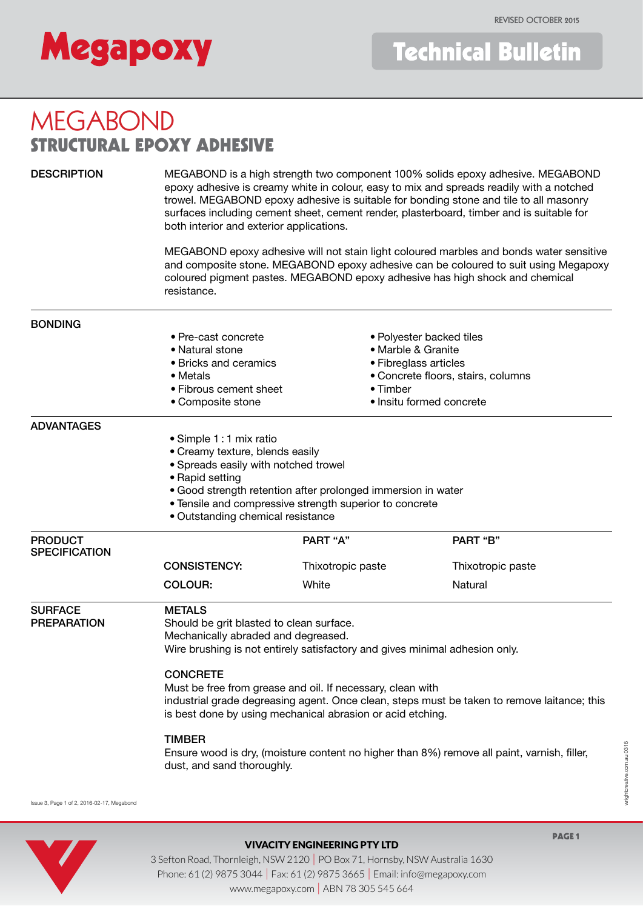

# MEGABOND STRUCTURAL EPOXY ADHESIVE

DESCRIPTION MEGABOND is a high strength two component 100% solids epoxy adhesive. MEGABOND epoxy adhesive is creamy white in colour, easy to mix and spreads readily with a notched trowel. MEGABOND epoxy adhesive is suitable for bonding stone and tile to all masonry surfaces including cement sheet, cement render, plasterboard, timber and is suitable for both interior and exterior applications.

> MEGABOND epoxy adhesive will not stain light coloured marbles and bonds water sensitive and composite stone. MEGABOND epoxy adhesive can be coloured to suit using Megapoxy coloured pigment pastes. MEGABOND epoxy adhesive has high shock and chemical resistance.

#### • Concrete floors, stairs, columns • Fibrous cement sheet • Timber • Timber Phone: 61 (2) 9876 Studie: 61 (2) 9876 Studies in Fax: 61 (2) 9876 Studies 266 Email: 101 (161 66 Email: 101 (161 66 Email: 101 (161 66 Email: 101 (161 66 Email: 101 (161 66 Email: 101 (161 66 Email: 101 (161 66 Email: 101 where  $\mathcal{M}(\mathcal{A})$  and  $\mathcal{M}(\mathcal{A})$  are  $\mathcal{M}(\mathcal{A})$  for  $\mathcal{M}(\mathcal{A})$ BONDING • Pre-cast concrete • Natural stone • Bricks and ceramics • Metals • Composite stone • Polyester backed tiles • Marble & Granite • Fibreglass articles • Timber • Insitu formed concrete ADVANTAGES • Simple 1 : 1 mix ratio • Creamy texture, blends easily • Spreads easily with notched trowel • Rapid setting • Good strength retention after prolonged immersion in water • Tensile and compressive strength superior to concrete • Outstanding chemical resistance **PRODUCT SPECIFICATION** PART "A" PART "B" CONSISTENCY: Thixotropic paste Thixotropic paste COLOUR: White White Natural SURFACE METALS<br>
PREPARATION Should b Should be grit blasted to clean surface. Mechanically abraded and degreased. Wire brushing is not entirely satisfactory and gives minimal adhesion only. **CONCRETE**  Must be free from grease and oil. If necessary, clean with industrial grade degreasing agent. Once clean, steps must be taken to remove laitance; this is best done by using mechanical abrasion or acid etching. TIMBER Ensure wood is dry, (moisture content no higher than 8%) remove all paint, varnish, filler, dust, and sand thoroughly.

wightcreative.com.au 0316 wrightcreative.com.au 0316



Issue 3, Page 1 of 2, 2016-02-17, Megabond

## VIVACITY ENGINEERING PTY LTD

3 Sefton Road, Thornleigh, NSW 2120 | PO Box 71, Hornsby, NSW Australia 1630 Phone: 61 (2) 9875 3044 | Fax: 61 (2) 9875 3665 | Email: info@megapoxy.com www.megapoxy.com | ABN 78 305 545 664